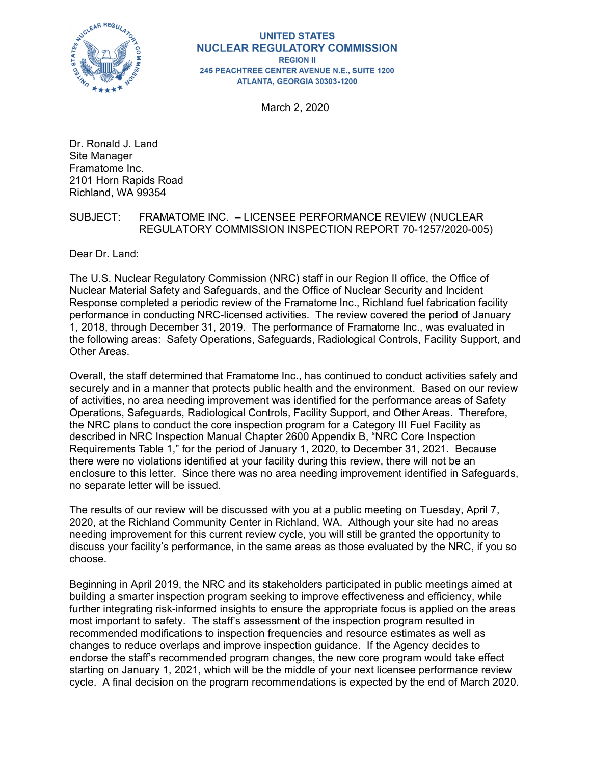

**UNITED STATES NUCLEAR REGULATORY COMMISSION REGION II** 245 PEACHTREE CENTER AVENUE N.E., SUITE 1200 ATLANTA, GEORGIA 30303-1200

March 2, 2020

Dr. Ronald J. Land Site Manager Framatome Inc. 2101 Horn Rapids Road Richland, WA 99354

## SUBJECT: FRAMATOME INC. – LICENSEE PERFORMANCE REVIEW (NUCLEAR REGULATORY COMMISSION INSPECTION REPORT 70-1257/2020-005)

Dear Dr. Land:

The U.S. Nuclear Regulatory Commission (NRC) staff in our Region II office, the Office of Nuclear Material Safety and Safeguards, and the Office of Nuclear Security and Incident Response completed a periodic review of the Framatome Inc., Richland fuel fabrication facility performance in conducting NRC-licensed activities. The review covered the period of January 1, 2018, through December 31, 2019. The performance of Framatome Inc., was evaluated in the following areas: Safety Operations, Safeguards, Radiological Controls, Facility Support, and Other Areas.

Overall, the staff determined that Framatome Inc., has continued to conduct activities safely and securely and in a manner that protects public health and the environment. Based on our review of activities, no area needing improvement was identified for the performance areas of Safety Operations, Safeguards, Radiological Controls, Facility Support, and Other Areas. Therefore, the NRC plans to conduct the core inspection program for a Category III Fuel Facility as described in NRC Inspection Manual Chapter 2600 Appendix B, "NRC Core Inspection Requirements Table 1," for the period of January 1, 2020, to December 31, 2021. Because there were no violations identified at your facility during this review, there will not be an enclosure to this letter. Since there was no area needing improvement identified in Safeguards, no separate letter will be issued.

The results of our review will be discussed with you at a public meeting on Tuesday, April 7, 2020, at the Richland Community Center in Richland, WA. Although your site had no areas needing improvement for this current review cycle, you will still be granted the opportunity to discuss your facility's performance, in the same areas as those evaluated by the NRC, if you so choose.

Beginning in April 2019, the NRC and its stakeholders participated in public meetings aimed at building a smarter inspection program seeking to improve effectiveness and efficiency, while further integrating risk-informed insights to ensure the appropriate focus is applied on the areas most important to safety. The staff's assessment of the inspection program resulted in recommended modifications to inspection frequencies and resource estimates as well as changes to reduce overlaps and improve inspection guidance. If the Agency decides to endorse the staff's recommended program changes, the new core program would take effect starting on January 1, 2021, which will be the middle of your next licensee performance review cycle. A final decision on the program recommendations is expected by the end of March 2020.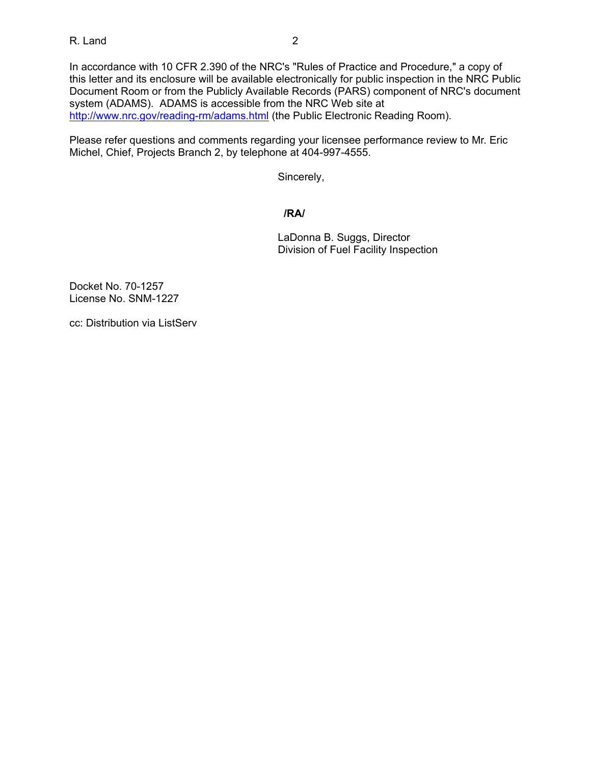In accordance with 10 CFR 2.390 of the NRC's "Rules of Practice and Procedure," a copy of this letter and its enclosure will be available electronically for public inspection in the NRC Public Document Room or from the Publicly Available Records (PARS) component of NRC's document system (ADAMS). ADAMS is accessible from the NRC Web site at

http://www.nrc.gov/reading-rm/adams.html (the Public Electronic Reading Room).

Please refer questions and comments regarding your licensee performance review to Mr. Eric Michel, Chief, Projects Branch 2, by telephone at 404-997-4555.

Sincerely,

**/RA/** 

LaDonna B. Suggs, Director Division of Fuel Facility Inspection

Docket No. 70-1257 License No. SNM-1227

cc: Distribution via ListServ